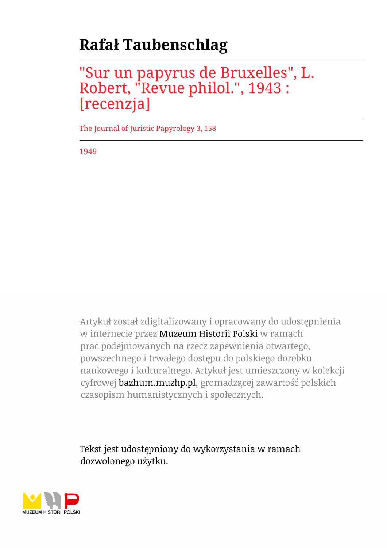## **Rafał Taubenschlag**

## "Sur un papyrus de Bruxelles", L. Robert, "Revue philol.", 1943 : [recenzja]

The Journal of Juristic Papyrology 3, 158

1949

Artykuł został zdigitalizowany i opracowany do udostępnienia w internecie przez Muzeum Historii Polski w ramach prac podejmowanych na rzecz zapewnienia otwartego, powszechnego i trwałego dostępu do polskiego dorobku naukowego i kulturalnego. Artykuł jest umieszczony w kolekcji cyfrowej bazhum.muzhp.pl, gromadzącej zawartość polskich czasopism humanistycznych i społecznych.

Tekst jest udostępniony do wykorzystania w ramach dozwolonego użytku.